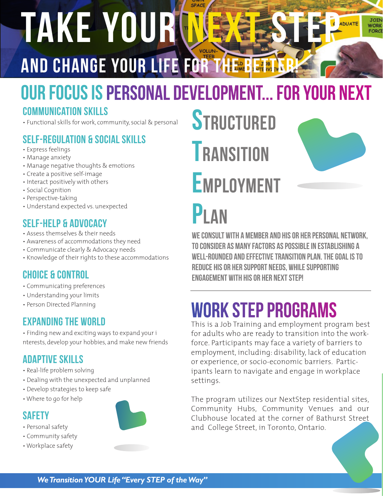# TAKE YOUR NEXT STEP AND CHANGE YOUR LIFE FOR THE BETTER

# OUR Focus is Personal Development... for your next

### Communication skills

• Functional skills for work, community, social & personal

# Self-regulation & Social Skills

- Express feelings
- Manage anxiety
- Manage negative thoughts & emotions
- Create a positive self-image
- Interact positively with others
- Social Cognition
- Perspective-taking
- Understand expected vs. unexpected

## Self-help & Advocacy

- Assess themselves & their needs
- Awareness of accommodations they need
- Communicate clearly & Advocacy needs
- Knowledge of their rights to these accommodations

## Choice & Control

- Communicating preferences
- Understanding your limits
- Person Directed Planning

## **EXPANDING THE WORLD**

EXPANDING THE WORLD<br>• Finding new and exciting ways to expand your i for adult! nterests, develop your hobbies, and make new friends

## Adaptive skills

- Real-life problem solving
- Dealing with the unexpected and unplanned
- Develop strategies to keep safe
- Where to go for help



- Personal safety
- Community safety
- Workplace safety



# **STRUCTURED TRANSITION EMPLOYMENT**



**JOIN WORK FORCE** 

# P<sub>L</sub>AN

We consult with a member and his or her personal network, to consider as many factors as possible in establishing a well-rounded and effective transition plan. the goal is to reduce his or her support needs, while supporting engagement with his or her next STEP!

# work STEP programs

This is a Job Training and employment program best for adults who are ready to transition into the workforce. Participants may face a variety of barriers to employment, including: disability, lack of education or experience, or socio-economic barriers. Participants learn to navigate and engage in workplace settings.

The program utilizes our NextStep residential sites, Community Hubs, Community Venues and our Clubhouse located at the corner of Bathurst Street and College Street, in Toronto, Ontario.